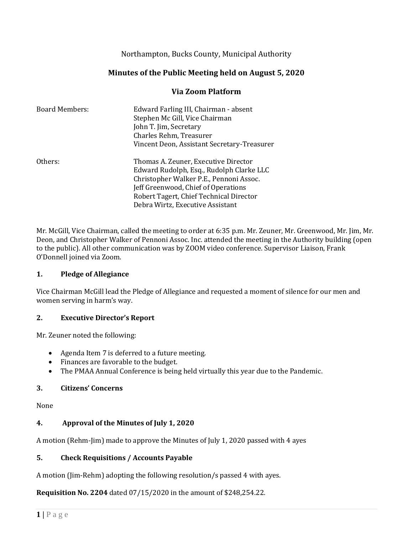Northampton, Bucks County, Municipal Authority

## **Minutes of the Public Meeting held on August 5, 2020**

## **Via Zoom Platform**

| <b>Board Members:</b> | Edward Farling III, Chairman - absent<br>Stephen Mc Gill, Vice Chairman<br>John T. Jim, Secretary<br>Charles Rehm, Treasurer<br>Vincent Deon, Assistant Secretary-Treasurer                                                                       |
|-----------------------|---------------------------------------------------------------------------------------------------------------------------------------------------------------------------------------------------------------------------------------------------|
| Others:               | Thomas A. Zeuner, Executive Director<br>Edward Rudolph, Esq., Rudolph Clarke LLC<br>Christopher Walker P.E., Pennoni Assoc.<br>Jeff Greenwood, Chief of Operations<br>Robert Tagert, Chief Technical Director<br>Debra Wirtz, Executive Assistant |

Mr. McGill, Vice Chairman, called the meeting to order at 6:35 p.m. Mr. Zeuner, Mr. Greenwood, Mr. Jim, Mr. Deon, and Christopher Walker of Pennoni Assoc. Inc. attended the meeting in the Authority building (open to the public). All other communication was by ZOOM video conference. Supervisor Liaison, Frank O'Donnell joined via Zoom.

#### **1. Pledge of Allegiance**

Vice Chairman McGill lead the Pledge of Allegiance and requested a moment of silence for our men and women serving in harm's way.

#### **2. Executive Director's Report**

Mr. Zeuner noted the following:

- Agenda Item 7 is deferred to a future meeting.
- Finances are favorable to the budget.
- The PMAA Annual Conference is being held virtually this year due to the Pandemic.

## **3. Citizens' Concerns**

None

## **4. Approval of the Minutes of July 1, 2020**

A motion (Rehm-Jim) made to approve the Minutes of July 1, 2020 passed with 4 ayes

## **5. Check Requisitions / Accounts Payable**

A motion (Jim-Rehm) adopting the following resolution/s passed 4 with ayes.

**Requisition No. 2204** dated 07/15/2020 in the amount of \$248,254.22.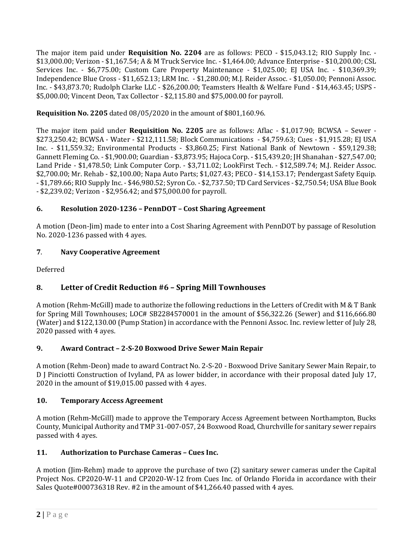The major item paid under **Requisition No. 2204** are as follows: PECO - \$15,043.12; RIO Supply Inc. - \$13,000.00; Verizon - \$1,167.54; A & M Truck Service Inc. - \$1,464.00; Advance Enterprise - \$10,200.00; CSL Services Inc. - \$6,775.00; Custom Care Property Maintenance - \$1,025.00; EJ USA Inc. - \$10,369.39; Independence Blue Cross - \$11,652.13; LRM Inc. - \$1,280.00; M.J. Reider Assoc. - \$1,050.00; Pennoni Assoc. Inc. - \$43,873.70; Rudolph Clarke LLC - \$26,200.00; Teamsters Health & Welfare Fund - \$14,463.45; USPS - \$5,000.00; Vincent Deon, Tax Collector - \$2,115.80 and \$75,000.00 for payroll.

**Requisition No. 2205** dated 08/05/2020 in the amount of \$801,160.96.

The major item paid under **Requisition No. 2205** are as follows: Aflac - \$1,017.90; BCWSA – Sewer - \$273,250.42; BCWSA - Water - \$212,111.58; Block Communications - \$4,759.63; Cues - \$1,915.28; EJ USA Inc. - \$11,559.32; Environmental Products - \$3,860.25; First National Bank of Newtown - \$59,129.38; Gannett Fleming Co. - \$1,900.00; Guardian - \$3,873.95; Hajoca Corp. - \$15,439.20; JH Shanahan - \$27,547.00; Land Pride - \$1,478.50; Link Computer Corp. - \$3,711.02; LookFirst Tech. - \$12,589.74; M.J. Reider Assoc. \$2,700.00; Mr. Rehab - \$2,100.00; Napa Auto Parts; \$1,027.43; PECO - \$14,153.17; Pendergast Safety Equip. - \$1,789.66; RIO Supply Inc. - \$46,980.52; Syron Co. - \$2,737.50; TD Card Services - \$2,750.54; USA Blue Book - \$2,239.02; Verizon - \$2,956.42; and \$75,000.00 for payroll.

## **6. Resolution 2020-1236 – PennDOT – Cost Sharing Agreement**

A motion (Deon-Jim) made to enter into a Cost Sharing Agreement with PennDOT by passage of Resolution No. 2020-1236 passed with 4 ayes.

## **7**. **Navy Cooperative Agreement**

Deferred

# **8. Letter of Credit Reduction #6 – Spring Mill Townhouses**

A motion (Rehm-McGill) made to authorize the following reductions in the Letters of Credit with M & T Bank for Spring Mill Townhouses; LOC# SB2284570001 in the amount of \$56,322.26 (Sewer) and \$116,666.80 (Water) and \$122,130.00 (Pump Station) in accordance with the Pennoni Assoc. Inc. review letter of July 28, 2020 passed with 4 ayes.

## **9. Award Contract – 2-S-20 Boxwood Drive Sewer Main Repair**

A motion (Rehm-Deon) made to award Contract No. 2-S-20 - Boxwood Drive Sanitary Sewer Main Repair, to D J Pinciotti Construction of Ivyland, PA as lower bidder, in accordance with their proposal dated July 17, 2020 in the amount of \$19,015.00 passed with 4 ayes.

## **10. Temporary Access Agreement**

A motion (Rehm-McGill) made to approve the Temporary Access Agreement between Northampton, Bucks County, Municipal Authority and TMP 31-007-057, 24 Boxwood Road, Churchville for sanitary sewer repairs passed with 4 ayes.

## **11. Authorization to Purchase Cameras – Cues Inc.**

A motion (Jim-Rehm) made to approve the purchase of two (2) sanitary sewer cameras under the Capital Project Nos. CP2020-W-11 and CP2020-W-12 from Cues Inc. of Orlando Florida in accordance with their Sales Quote#000736318 Rev. #2 in the amount of \$41,266.40 passed with 4 ayes.